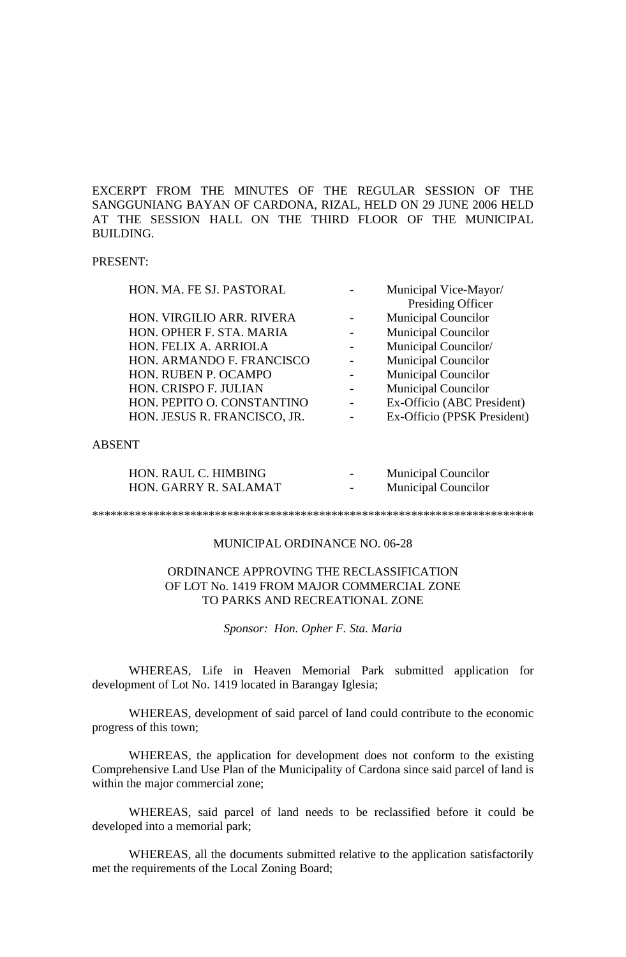EXCERPT FROM THE MINUTES OF THE REGULAR SESSION OF THE SANGGUNIANG BAYAN OF CARDONA, RIZAL, HELD ON 29 JUNE 2006 HELD AT THE SESSION HALL ON THE THIRD FLOOR OF THE MUNICIPAL BUILDING.

### PRESENT:

| HON. MA. FE SJ. PASTORAL     | Municipal Vice-Mayor/       |
|------------------------------|-----------------------------|
|                              | Presiding Officer           |
| HON. VIRGILIO ARR. RIVERA    | <b>Municipal Councilor</b>  |
| HON. OPHER F. STA. MARIA     | <b>Municipal Councilor</b>  |
| HON. FELIX A. ARRIOLA        | Municipal Councilor/        |
| HON. ARMANDO F. FRANCISCO    | <b>Municipal Councilor</b>  |
| HON. RUBEN P. OCAMPO         | Municipal Councilor         |
| HON. CRISPO F. JULIAN        | <b>Municipal Councilor</b>  |
| HON. PEPITO O. CONSTANTINO   | Ex-Officio (ABC President)  |
| HON. JESUS R. FRANCISCO, JR. | Ex-Officio (PPSK President) |
|                              |                             |

### ABSENT

| HON. RAUL C. HIMBING  | $\overline{\phantom{m}}$ | <b>Municipal Councilor</b> |
|-----------------------|--------------------------|----------------------------|
| HON. GARRY R. SALAMAT | $\overline{\phantom{0}}$ | <b>Municipal Councilor</b> |

#### \*\*\*\*\*\*\*\*\*\*\*\*\*\*\*\*\*\*\*\*\*\*\*\*\*\*\*\*\*\*\*\*\*\*\*\*\*\*\*\*\*\*\*\*\*\*\*\*\*\*\*\*\*\*\*\*\*\*\*\*\*\*\*\*\*\*\*\*\*\*\*\*

## MUNICIPAL ORDINANCE NO. 06-28

# ORDINANCE APPROVING THE RECLASSIFICATION OF LOT No. 1419 FROM MAJOR COMMERCIAL ZONE TO PARKS AND RECREATIONAL ZONE

*Sponsor: Hon. Opher F. Sta. Maria*

WHEREAS, Life in Heaven Memorial Park submitted application for development of Lot No. 1419 located in Barangay Iglesia;

WHEREAS, development of said parcel of land could contribute to the economic progress of this town;

WHEREAS, the application for development does not conform to the existing Comprehensive Land Use Plan of the Municipality of Cardona since said parcel of land is within the major commercial zone;

WHEREAS, said parcel of land needs to be reclassified before it could be developed into a memorial park;

WHEREAS, all the documents submitted relative to the application satisfactorily met the requirements of the Local Zoning Board;